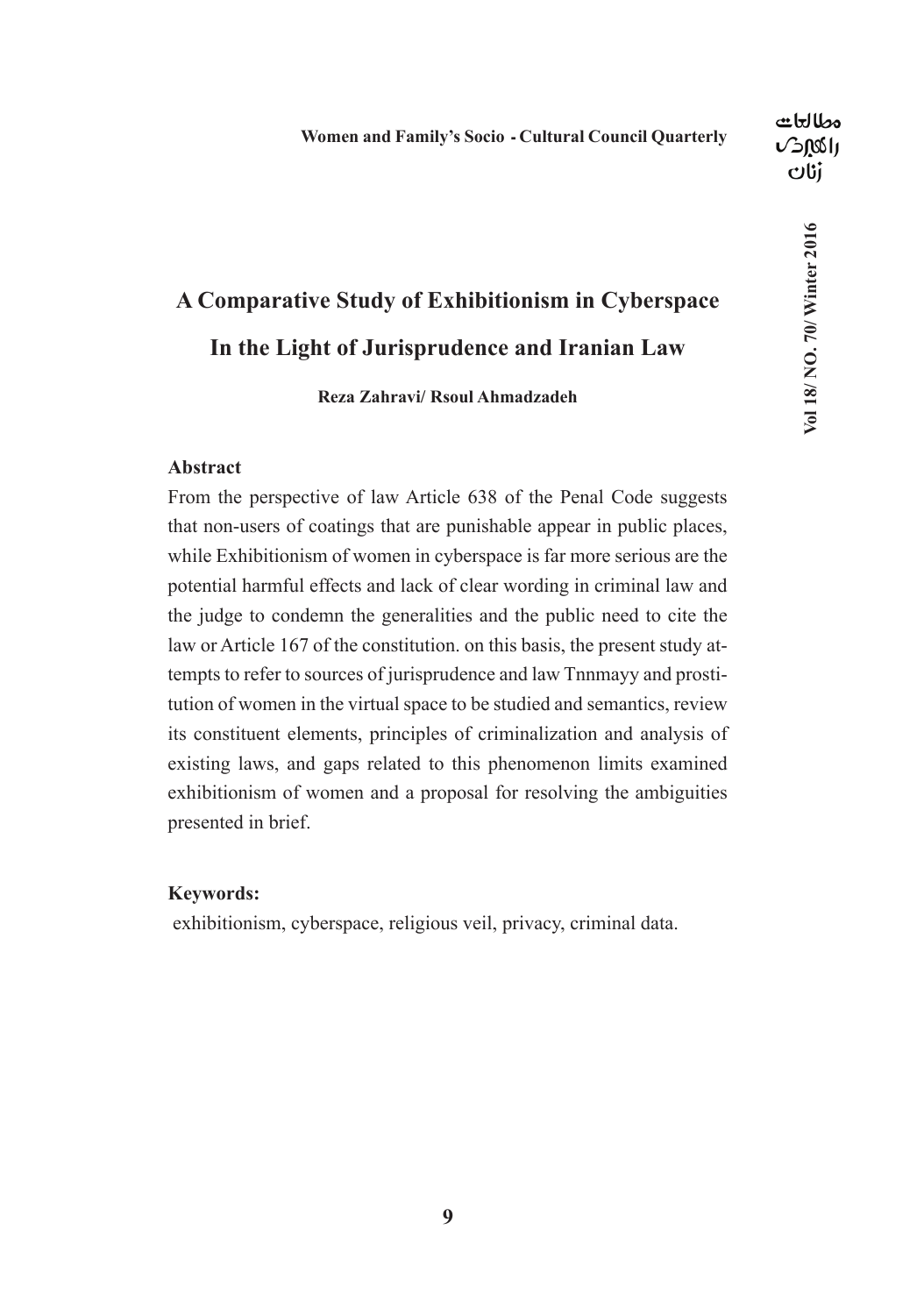### **A Comparative Study of Exhibitionism in Cyberspace In the Light of Jurisprudence and Iranian Law**

**Reza Zahravi/ Rsoul Ahmadzadeh**

#### **Abstract**

From the perspective of law Article 638 of the Penal Code suggests that non-users of coatings that are punishable appear in public places, while Exhibitionism of women in cyberspace is far more serious are the potential harmful effects and lack of clear wording in criminal law and the judge to condemn the generalities and the public need to cite the law or Article 167 of the constitution. on this basis, the present study attempts to refer to sources of jurisprudence and law Tnnmayy and prostitution of women in the virtual space to be studied and semantics, review its constituent elements, principles of criminalization and analysis of existing laws, and gaps related to this phenomenon limits examined exhibitionism of women and a proposal for resolving the ambiguities presented in brief.

#### **Keywords:**

exhibitionism, cyberspace, religious veil, privacy, criminal data.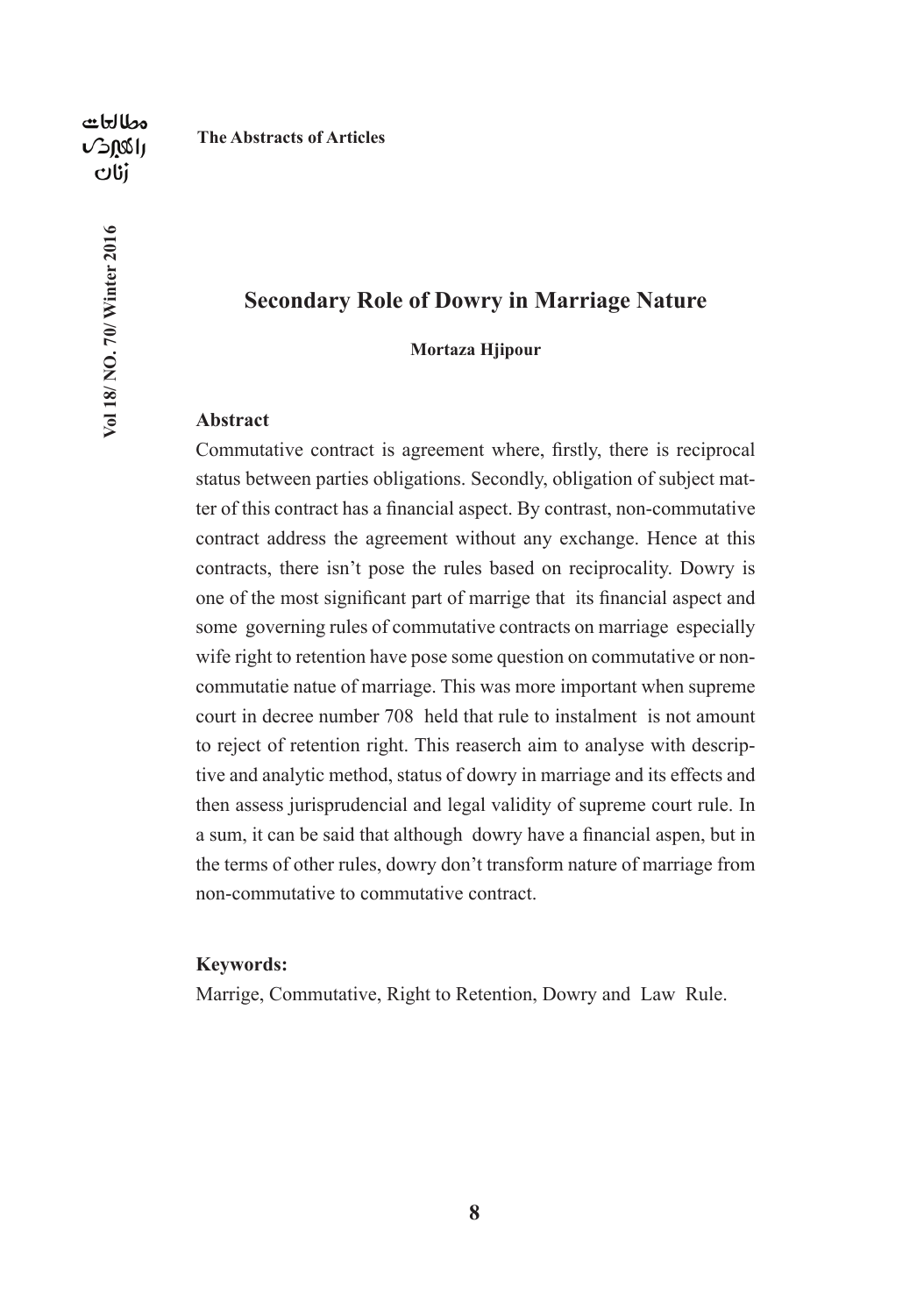**The Abstracts of Articles**

# Vol 18/ NO. 70/ Winter 2016 **Vol 18/ NO. 70/ Winter 2016**

#### **Secondary Role of Dowry in Marriage Nature**

#### **Mortaza Hjipour**

#### **Abstract**

Commutative contract is agreement where, firstly, there is reciprocal status between parties obligations. Secondly, obligation of subject matter of this contract has a financial aspect. By contrast, non-commutative contract address the agreement without any exchange. Hence at this contracts, there isn't pose the rules based on reciprocality. Dowry is one of the most significant part of marrige that its financial aspect and some governing rules of commutative contracts on marriage especially wife right to retention have pose some question on commutative or noncommutatie natue of marriage. This was more important when supreme court in decree number 708 held that rule to instalment is not amount to reject of retention right. This reaserch aim to analyse with descriptive and analytic method, status of dowry in marriage and its effects and then assess jurisprudencial and legal validity of supreme court rule. In a sum, it can be said that although dowry have a financial aspen, but in the terms of other rules, dowry don't transform nature of marriage from non-commutative to commutative contract.

#### **Keywords:**

Marrige, Commutative, Right to Retention, Dowry and Law Rule.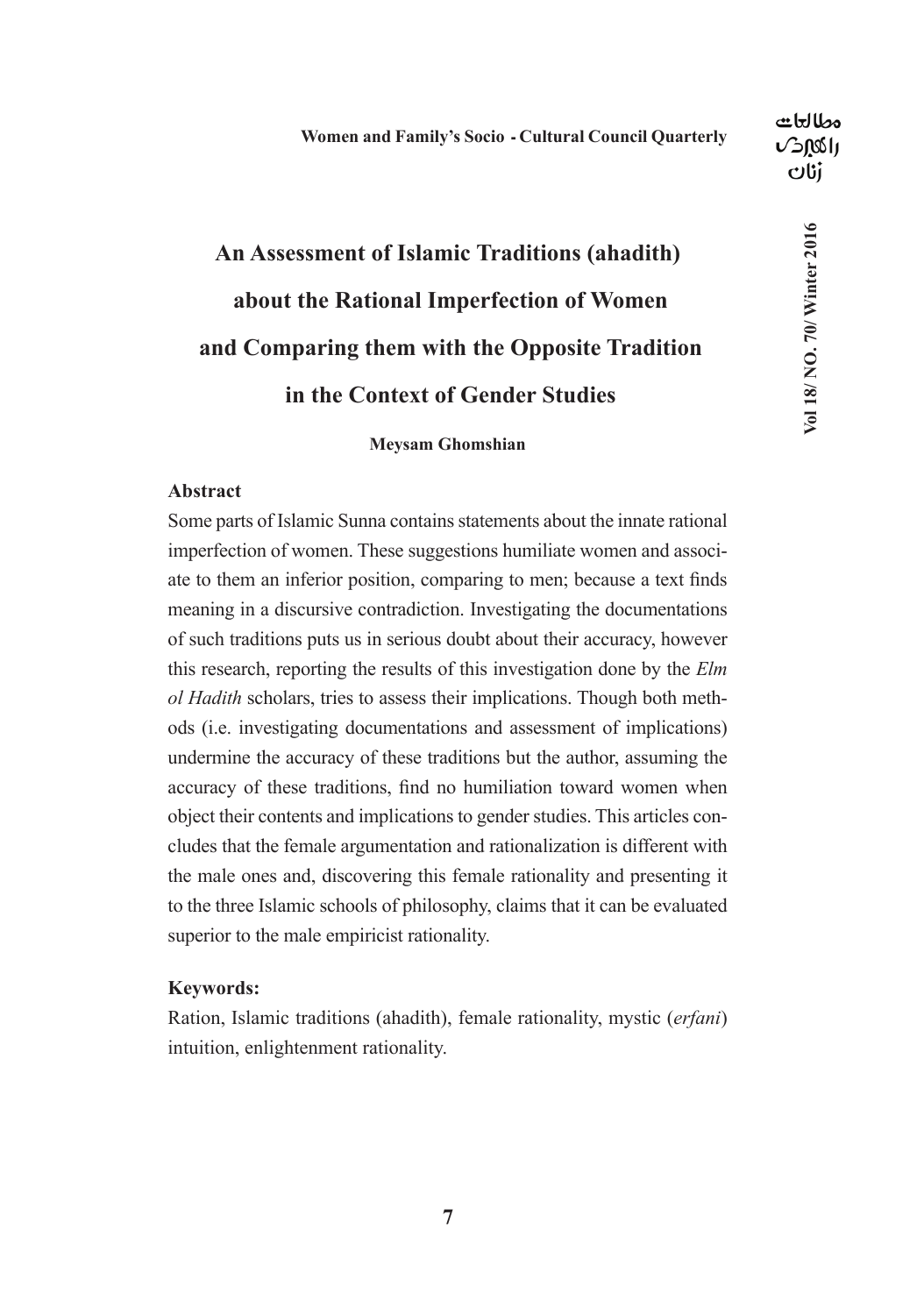**Vol 18/ NO. 70/ Winter 2016**

Vol 18/ NO. 70/ Winter 2016

## **An Assessment of Islamic Traditions (ahadith) about the Rational Imperfection of Women and Comparing them with the Opposite Tradition in the Context of Gender Studies**

**Meysam Ghomshian**

#### **Abstract**

Some parts of Islamic Sunna contains statements about the innate rational imperfection of women. These suggestions humiliate women and associate to them an inferior position, comparing to men; because a text finds meaning in a discursive contradiction. Investigating the documentations of such traditions puts us in serious doubt about their accuracy, however this research, reporting the results of this investigation done by the *Elm ol Hadith* scholars, tries to assess their implications. Though both methods (i.e. investigating documentations and assessment of implications) undermine the accuracy of these traditions but the author, assuming the accuracy of these traditions, find no humiliation toward women when object their contents and implications to gender studies. This articles concludes that the female argumentation and rationalization is different with the male ones and, discovering this female rationality and presenting it to the three Islamic schools of philosophy, claims that it can be evaluated superior to the male empiricist rationality.

#### **Keywords:**

Ration, Islamic traditions (ahadith), female rationality, mystic (*erfani*) intuition, enlightenment rationality.

**7**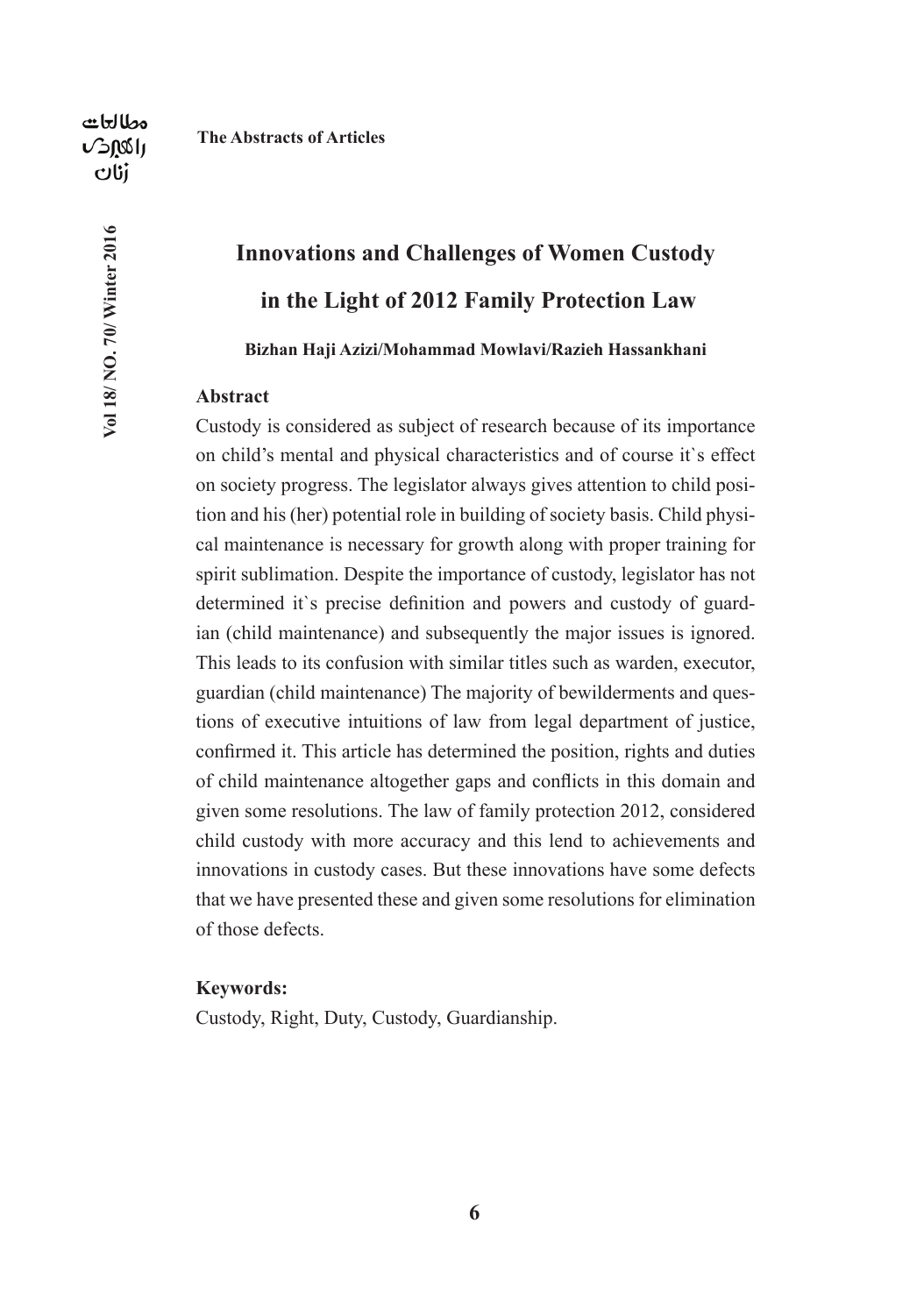**Vol 18/ NO. 70/ Winter 2016**

Vol 18/ NO. 70/ Winter 2016

#### **The Abstracts of Articles**

# **Innovations and Challenges of Women Custody in the Light of 2012 Family Protection Law**

**Bizhan Haji Azizi/Mohammad Mowlavi/Razieh Hassankhani**

#### **Abstract**

Custody is considered as subject of research because of its importance on child's mental and physical characteristics and of course it`s effect on society progress. The legislator always gives attention to child position and his (her) potential role in building of society basis. Child physical maintenance is necessary for growth along with proper training for spirit sublimation. Despite the importance of custody, legislator has not determined it`s precise definition and powers and custody of guardian (child maintenance) and subsequently the major issues is ignored. This leads to its confusion with similar titles such as warden, executor, guardian (child maintenance) The majority of bewilderments and questions of executive intuitions of law from legal department of justice, confirmed it. This article has determined the position, rights and duties of child maintenance altogether gaps and conflicts in this domain and given some resolutions. The law of family protection 2012, considered child custody with more accuracy and this lend to achievements and innovations in custody cases. But these innovations have some defects that we have presented these and given some resolutions for elimination of those defects.

#### **Keywords:**

Custody, Right, Duty, Custody, Guardianship.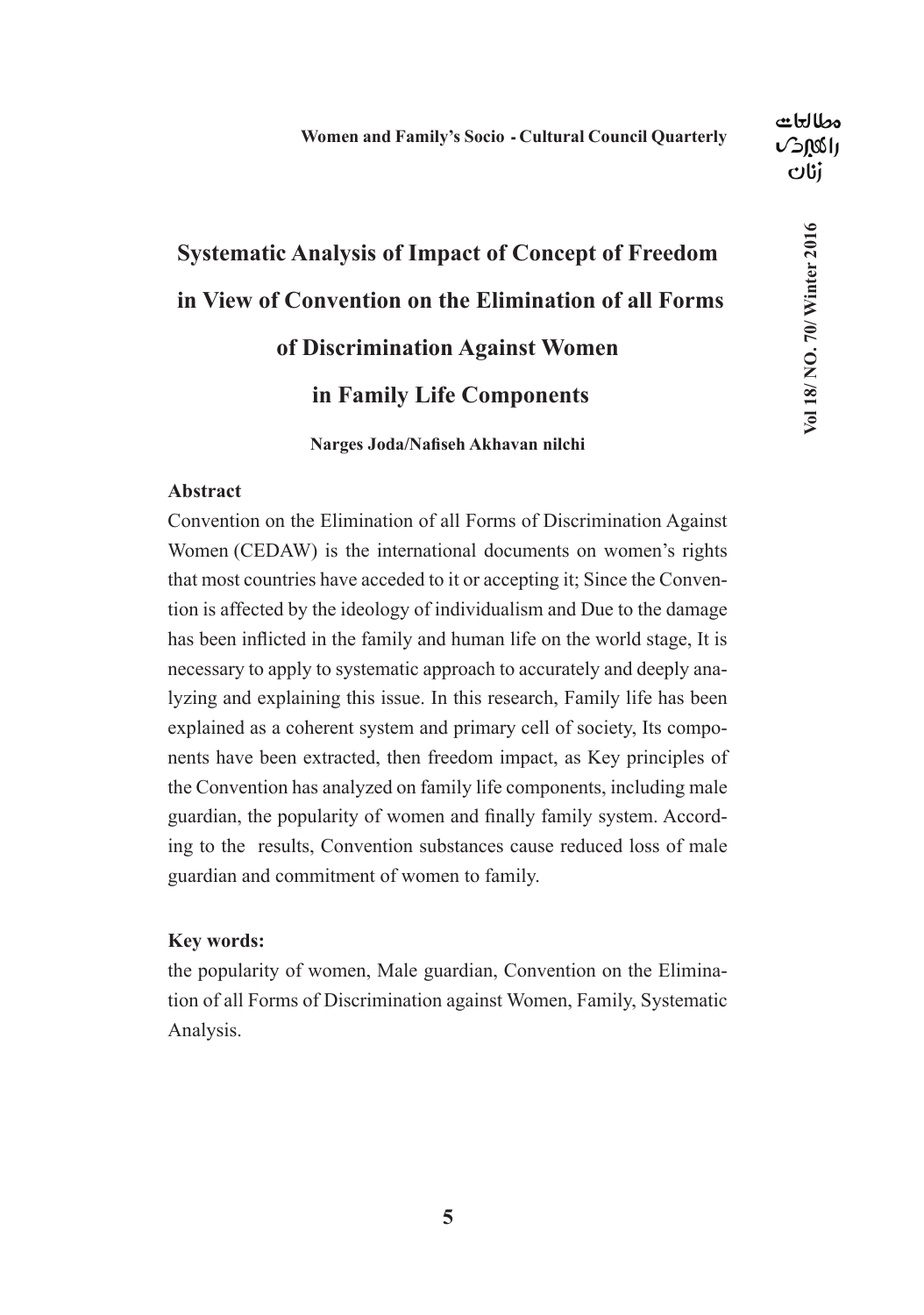# **Systematic Analysis of Impact of Concept of Freedom in View of Convention on the Elimination of all Forms of Discrimination Against Women in Family Life Components Narges Joda/Nafiseh Akhavan nilchi**

#### **Abstract**

Convention on the Elimination of all Forms of Discrimination Against Women (CEDAW) is the international documents on women's rights that most countries have acceded to it or accepting it; Since the Convention is affected by the ideology of individualism and Due to the damage has been inflicted in the family and human life on the world stage, It is necessary to apply to systematic approach to accurately and deeply analyzing and explaining this issue. In this research, Family life has been explained as a coherent system and primary cell of society, Its components have been extracted, then freedom impact, as Key principles of the Convention has analyzed on family life components, including male guardian, the popularity of women and finally family system. According to the results, Convention substances cause reduced loss of male guardian and commitment of women to family.

#### **Key words:**

the popularity of women, Male guardian, Convention on the Elimination of all Forms of Discrimination against Women, Family, Systematic Analysis.